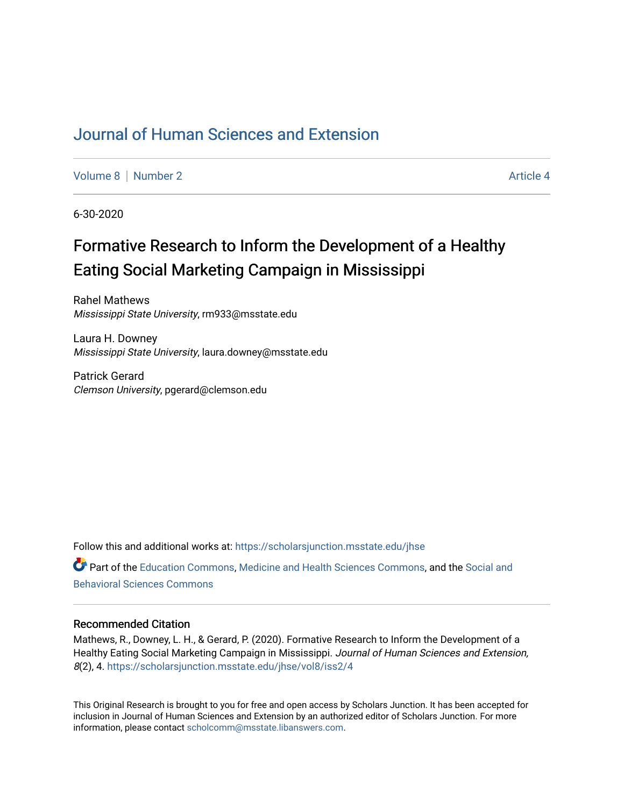# [Journal of Human Sciences and Extension](https://scholarsjunction.msstate.edu/jhse)

[Volume 8](https://scholarsjunction.msstate.edu/jhse/vol8) [Number 2](https://scholarsjunction.msstate.edu/jhse/vol8/iss2) Article 4

6-30-2020

# Formative Research to Inform the Development of a Healthy Eating Social Marketing Campaign in Mississippi

Rahel Mathews Mississippi State University, rm933@msstate.edu

Laura H. Downey Mississippi State University, laura.downey@msstate.edu

Patrick Gerard Clemson University, pgerard@clemson.edu

Follow this and additional works at: [https://scholarsjunction.msstate.edu/jhse](https://scholarsjunction.msstate.edu/jhse?utm_source=scholarsjunction.msstate.edu%2Fjhse%2Fvol8%2Fiss2%2F4&utm_medium=PDF&utm_campaign=PDFCoverPages) Part of the [Education Commons](http://network.bepress.com/hgg/discipline/784?utm_source=scholarsjunction.msstate.edu%2Fjhse%2Fvol8%2Fiss2%2F4&utm_medium=PDF&utm_campaign=PDFCoverPages), [Medicine and Health Sciences Commons,](http://network.bepress.com/hgg/discipline/648?utm_source=scholarsjunction.msstate.edu%2Fjhse%2Fvol8%2Fiss2%2F4&utm_medium=PDF&utm_campaign=PDFCoverPages) and the [Social and](http://network.bepress.com/hgg/discipline/316?utm_source=scholarsjunction.msstate.edu%2Fjhse%2Fvol8%2Fiss2%2F4&utm_medium=PDF&utm_campaign=PDFCoverPages) [Behavioral Sciences Commons](http://network.bepress.com/hgg/discipline/316?utm_source=scholarsjunction.msstate.edu%2Fjhse%2Fvol8%2Fiss2%2F4&utm_medium=PDF&utm_campaign=PDFCoverPages) 

#### Recommended Citation

Mathews, R., Downey, L. H., & Gerard, P. (2020). Formative Research to Inform the Development of a Healthy Eating Social Marketing Campaign in Mississippi. Journal of Human Sciences and Extension, 8(2), 4. [https://scholarsjunction.msstate.edu/jhse/vol8/iss2/4](https://scholarsjunction.msstate.edu/jhse/vol8/iss2/4?utm_source=scholarsjunction.msstate.edu%2Fjhse%2Fvol8%2Fiss2%2F4&utm_medium=PDF&utm_campaign=PDFCoverPages) 

This Original Research is brought to you for free and open access by Scholars Junction. It has been accepted for inclusion in Journal of Human Sciences and Extension by an authorized editor of Scholars Junction. For more information, please contact [scholcomm@msstate.libanswers.com](mailto:scholcomm@msstate.libanswers.com).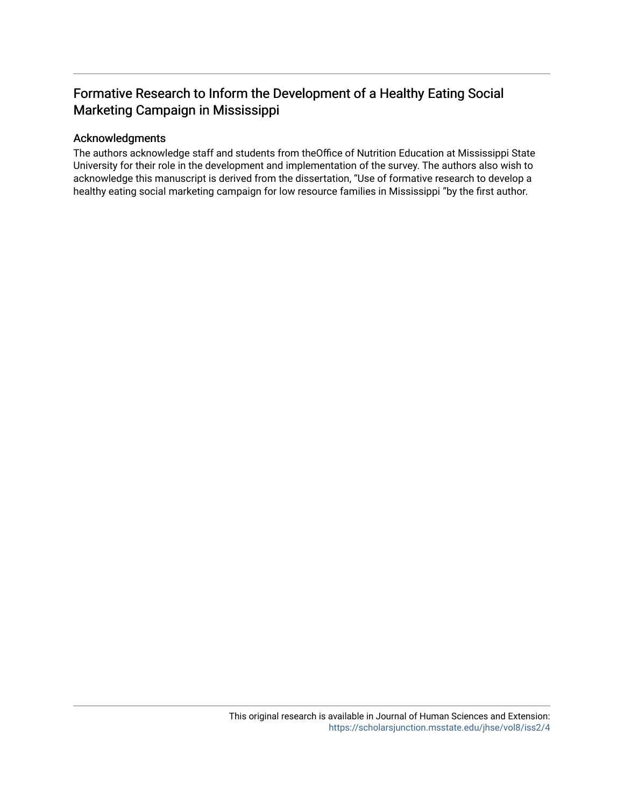# Formative Research to Inform the Development of a Healthy Eating Social Marketing Campaign in Mississippi

#### Acknowledgments

The authors acknowledge staff and students from theOffice of Nutrition Education at Mississippi State University for their role in the development and implementation of the survey. The authors also wish to acknowledge this manuscript is derived from the dissertation, "Use of formative research to develop a healthy eating social marketing campaign for low resource families in Mississippi "by the first author.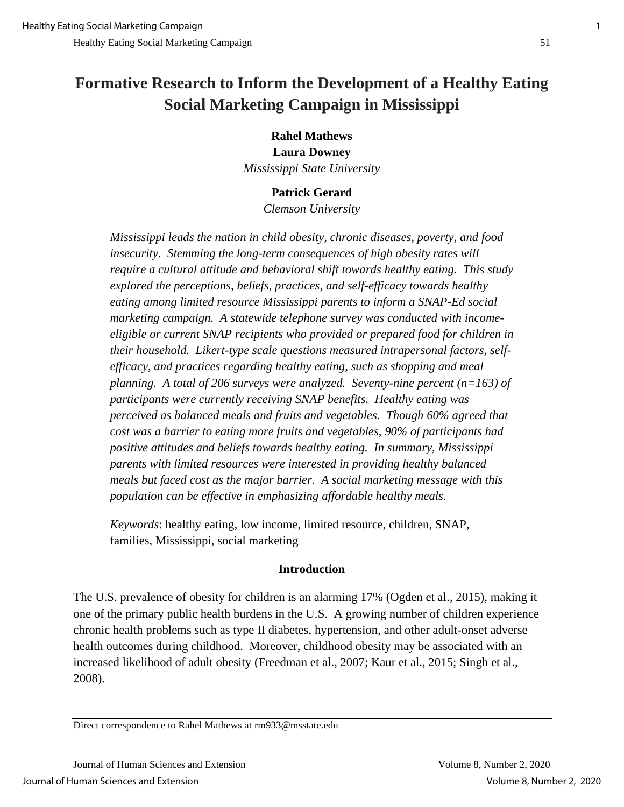# **Formative Research to Inform the Development of a Healthy Eating Social Marketing Campaign in Mississippi**

**Rahel Mathews Laura Downey** *Mississippi State University*

# **Patrick Gerard**

*Clemson University*

*Mississippi leads the nation in child obesity, chronic diseases, poverty, and food insecurity. Stemming the long-term consequences of high obesity rates will require a cultural attitude and behavioral shift towards healthy eating. This study explored the perceptions, beliefs, practices, and self-efficacy towards healthy eating among limited resource Mississippi parents to inform a SNAP-Ed social marketing campaign. A statewide telephone survey was conducted with incomeeligible or current SNAP recipients who provided or prepared food for children in their household. Likert-type scale questions measured intrapersonal factors, selfefficacy, and practices regarding healthy eating, such as shopping and meal planning. A total of 206 surveys were analyzed. Seventy-nine percent (n=163) of participants were currently receiving SNAP benefits. Healthy eating was perceived as balanced meals and fruits and vegetables. Though 60% agreed that cost was a barrier to eating more fruits and vegetables, 90% of participants had positive attitudes and beliefs towards healthy eating. In summary, Mississippi parents with limited resources were interested in providing healthy balanced meals but faced cost as the major barrier. A social marketing message with this population can be effective in emphasizing affordable healthy meals.* 

*Keywords*: healthy eating, low income, limited resource, children, SNAP, families, Mississippi, social marketing

# **Introduction**

The U.S. prevalence of obesity for children is an alarming 17% (Ogden et al., 2015), making it one of the primary public health burdens in the U.S. A growing number of children experience chronic health problems such as type II diabetes, hypertension, and other adult-onset adverse health outcomes during childhood. Moreover, childhood obesity may be associated with an increased likelihood of adult obesity (Freedman et al., 2007; Kaur et al., 2015; Singh et al., 2008).

Direct correspondence to Rahel Mathews at rm933@msstate.edu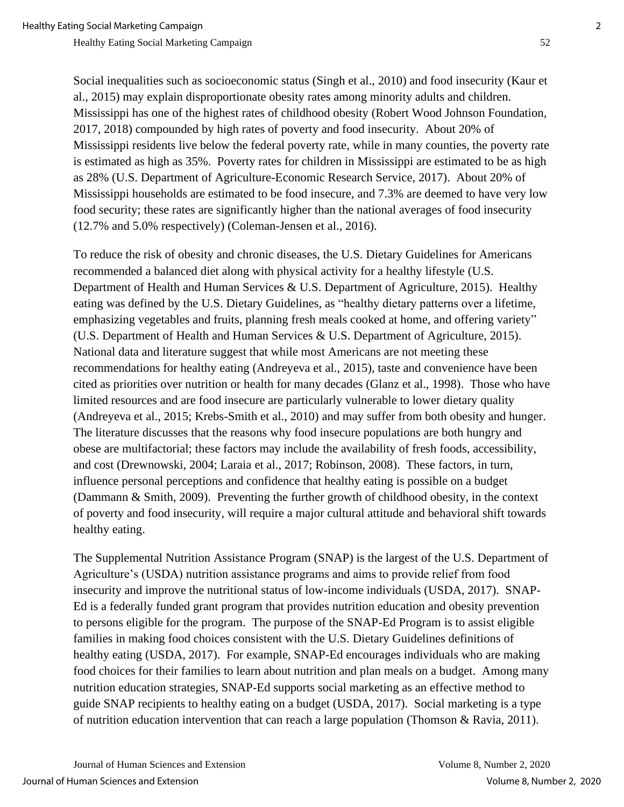Social inequalities such as socioeconomic status (Singh et al., 2010) and food insecurity (Kaur et al., 2015) may explain disproportionate obesity rates among minority adults and children. Mississippi has one of the highest rates of childhood obesity (Robert Wood Johnson Foundation, 2017, 2018) compounded by high rates of poverty and food insecurity. About 20% of Mississippi residents live below the federal poverty rate, while in many counties, the poverty rate is estimated as high as 35%. Poverty rates for children in Mississippi are estimated to be as high as 28% (U.S. Department of Agriculture-Economic Research Service, 2017). About 20% of Mississippi households are estimated to be food insecure, and 7.3% are deemed to have very low food security; these rates are significantly higher than the national averages of food insecurity (12.7% and 5.0% respectively) (Coleman-Jensen et al., 2016).

To reduce the risk of obesity and chronic diseases, the U.S. Dietary Guidelines for Americans recommended a balanced diet along with physical activity for a healthy lifestyle (U.S. Department of Health and Human Services & U.S. Department of Agriculture, 2015). Healthy eating was defined by the U.S. Dietary Guidelines, as "healthy dietary patterns over a lifetime, emphasizing vegetables and fruits, planning fresh meals cooked at home, and offering variety" (U.S. Department of Health and Human Services & U.S. Department of Agriculture, 2015). National data and literature suggest that while most Americans are not meeting these recommendations for healthy eating (Andreyeva et al., 2015), taste and convenience have been cited as priorities over nutrition or health for many decades (Glanz et al., 1998). Those who have limited resources and are food insecure are particularly vulnerable to lower dietary quality (Andreyeva et al., 2015; Krebs-Smith et al., 2010) and may suffer from both obesity and hunger. The literature discusses that the reasons why food insecure populations are both hungry and obese are multifactorial; these factors may include the availability of fresh foods, accessibility, and cost (Drewnowski, 2004; Laraia et al., 2017; Robinson, 2008). These factors, in turn, influence personal perceptions and confidence that healthy eating is possible on a budget (Dammann & Smith, 2009). Preventing the further growth of childhood obesity, in the context of poverty and food insecurity, will require a major cultural attitude and behavioral shift towards healthy eating.

The Supplemental Nutrition Assistance Program (SNAP) is the largest of the U.S. Department of Agriculture's (USDA) nutrition assistance programs and aims to provide relief from food insecurity and improve the nutritional status of low-income individuals (USDA, 2017). SNAP-Ed is a federally funded grant program that provides nutrition education and obesity prevention to persons eligible for the program. The purpose of the SNAP-Ed Program is to assist eligible families in making food choices consistent with the U.S. Dietary Guidelines definitions of healthy eating (USDA, 2017). For example, SNAP-Ed encourages individuals who are making food choices for their families to learn about nutrition and plan meals on a budget. Among many nutrition education strategies, SNAP-Ed supports social marketing as an effective method to guide SNAP recipients to healthy eating on a budget (USDA, 2017). Social marketing is a type of nutrition education intervention that can reach a large population (Thomson & Ravia, 2011).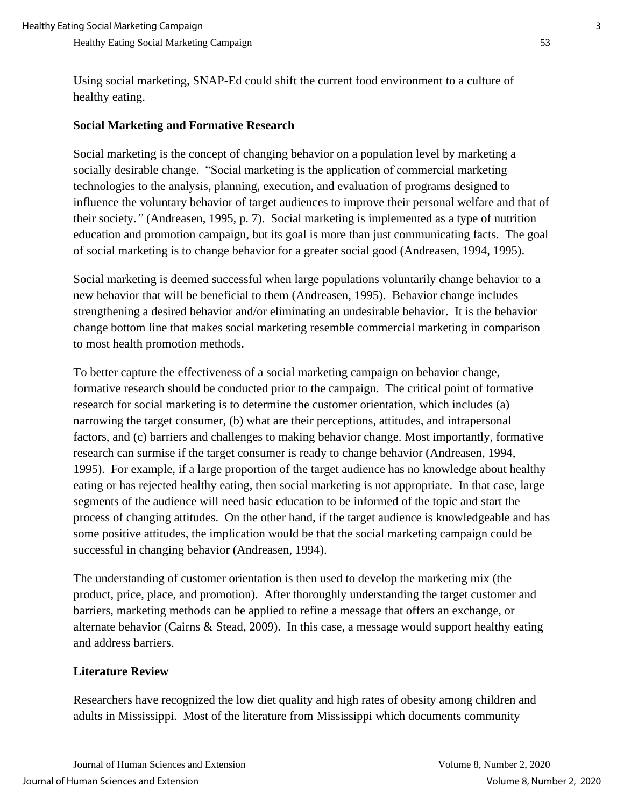Using social marketing, SNAP-Ed could shift the current food environment to a culture of healthy eating.

# **Social Marketing and Formative Research**

Social marketing is the concept of changing behavior on a population level by marketing a socially desirable change. "Social marketing is the application of commercial marketing technologies to the analysis, planning, execution, and evaluation of programs designed to influence the voluntary behavior of target audiences to improve their personal welfare and that of their society.*"* (Andreasen, 1995, p. 7). Social marketing is implemented as a type of nutrition education and promotion campaign, but its goal is more than just communicating facts. The goal of social marketing is to change behavior for a greater social good (Andreasen, 1994, 1995).

Social marketing is deemed successful when large populations voluntarily change behavior to a new behavior that will be beneficial to them (Andreasen, 1995). Behavior change includes strengthening a desired behavior and/or eliminating an undesirable behavior. It is the behavior change bottom line that makes social marketing resemble commercial marketing in comparison to most health promotion methods.

To better capture the effectiveness of a social marketing campaign on behavior change, formative research should be conducted prior to the campaign. The critical point of formative research for social marketing is to determine the customer orientation, which includes (a) narrowing the target consumer, (b) what are their perceptions, attitudes, and intrapersonal factors, and (c) barriers and challenges to making behavior change. Most importantly, formative research can surmise if the target consumer is ready to change behavior (Andreasen, 1994, 1995). For example, if a large proportion of the target audience has no knowledge about healthy eating or has rejected healthy eating, then social marketing is not appropriate. In that case, large segments of the audience will need basic education to be informed of the topic and start the process of changing attitudes. On the other hand, if the target audience is knowledgeable and has some positive attitudes, the implication would be that the social marketing campaign could be successful in changing behavior (Andreasen, 1994).

The understanding of customer orientation is then used to develop the marketing mix (the product, price, place, and promotion). After thoroughly understanding the target customer and barriers, marketing methods can be applied to refine a message that offers an exchange, or alternate behavior (Cairns & Stead, 2009). In this case, a message would support healthy eating and address barriers.

# **Literature Review**

Researchers have recognized the low diet quality and high rates of obesity among children and adults in Mississippi. Most of the literature from Mississippi which documents community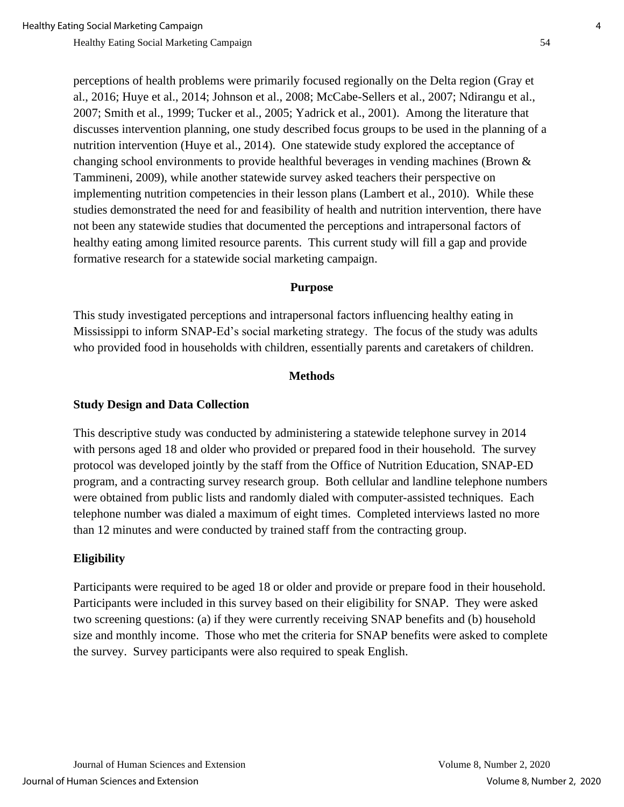perceptions of health problems were primarily focused regionally on the Delta region (Gray et al., 2016; Huye et al., 2014; Johnson et al., 2008; McCabe-Sellers et al., 2007; Ndirangu et al.,

2007; Smith et al., 1999; Tucker et al., 2005; Yadrick et al., 2001). Among the literature that discusses intervention planning, one study described focus groups to be used in the planning of a nutrition intervention (Huye et al., 2014). One statewide study explored the acceptance of changing school environments to provide healthful beverages in vending machines (Brown & Tammineni, 2009), while another statewide survey asked teachers their perspective on implementing nutrition competencies in their lesson plans (Lambert et al., 2010). While these studies demonstrated the need for and feasibility of health and nutrition intervention, there have not been any statewide studies that documented the perceptions and intrapersonal factors of healthy eating among limited resource parents. This current study will fill a gap and provide formative research for a statewide social marketing campaign.

#### **Purpose**

This study investigated perceptions and intrapersonal factors influencing healthy eating in Mississippi to inform SNAP-Ed's social marketing strategy. The focus of the study was adults who provided food in households with children, essentially parents and caretakers of children.

#### **Methods**

#### **Study Design and Data Collection**

This descriptive study was conducted by administering a statewide telephone survey in 2014 with persons aged 18 and older who provided or prepared food in their household. The survey protocol was developed jointly by the staff from the Office of Nutrition Education, SNAP-ED program, and a contracting survey research group. Both cellular and landline telephone numbers were obtained from public lists and randomly dialed with computer-assisted techniques. Each telephone number was dialed a maximum of eight times. Completed interviews lasted no more than 12 minutes and were conducted by trained staff from the contracting group.

# **Eligibility**

Participants were required to be aged 18 or older and provide or prepare food in their household. Participants were included in this survey based on their eligibility for SNAP. They were asked two screening questions: (a) if they were currently receiving SNAP benefits and (b) household size and monthly income. Those who met the criteria for SNAP benefits were asked to complete the survey. Survey participants were also required to speak English.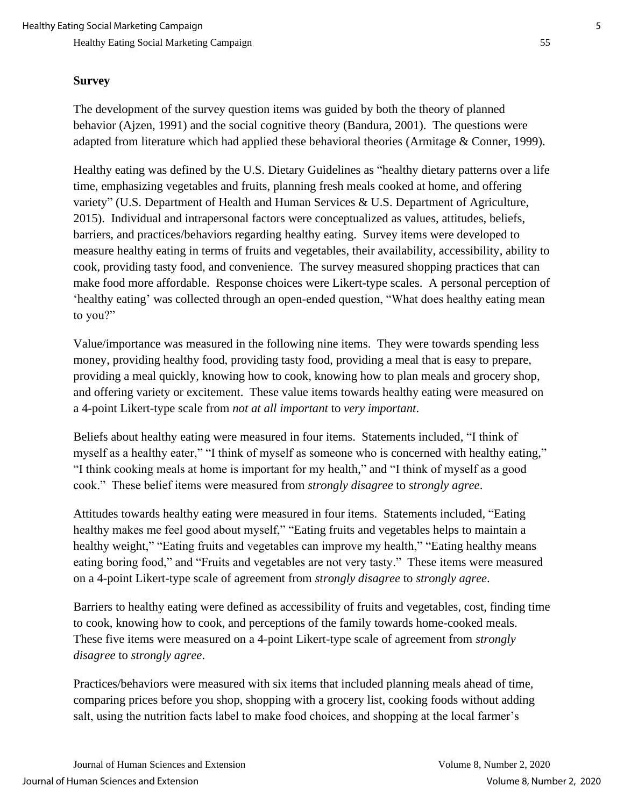### **Survey**

The development of the survey question items was guided by both the theory of planned behavior (Ajzen, 1991) and the social cognitive theory (Bandura, 2001). The questions were adapted from literature which had applied these behavioral theories (Armitage & Conner, 1999).

Healthy eating was defined by the U.S. Dietary Guidelines as "healthy dietary patterns over a life time, emphasizing vegetables and fruits, planning fresh meals cooked at home, and offering variety" (U.S. Department of Health and Human Services & U.S. Department of Agriculture, 2015). Individual and intrapersonal factors were conceptualized as values, attitudes, beliefs, barriers, and practices/behaviors regarding healthy eating. Survey items were developed to measure healthy eating in terms of fruits and vegetables, their availability, accessibility, ability to cook, providing tasty food, and convenience. The survey measured shopping practices that can make food more affordable. Response choices were Likert-type scales. A personal perception of 'healthy eating' was collected through an open-ended question, "What does healthy eating mean to you?"

Value/importance was measured in the following nine items. They were towards spending less money, providing healthy food, providing tasty food, providing a meal that is easy to prepare, providing a meal quickly, knowing how to cook, knowing how to plan meals and grocery shop, and offering variety or excitement. These value items towards healthy eating were measured on a 4-point Likert-type scale from *not at all important* to *very important*.

Beliefs about healthy eating were measured in four items. Statements included, "I think of myself as a healthy eater," "I think of myself as someone who is concerned with healthy eating," "I think cooking meals at home is important for my health," and "I think of myself as a good cook." These belief items were measured from *strongly disagree* to *strongly agree*.

Attitudes towards healthy eating were measured in four items. Statements included, "Eating healthy makes me feel good about myself," "Eating fruits and vegetables helps to maintain a healthy weight," "Eating fruits and vegetables can improve my health," "Eating healthy means eating boring food," and "Fruits and vegetables are not very tasty." These items were measured on a 4-point Likert-type scale of agreement from *strongly disagree* to *strongly agree*.

Barriers to healthy eating were defined as accessibility of fruits and vegetables, cost, finding time to cook, knowing how to cook, and perceptions of the family towards home-cooked meals. These five items were measured on a 4-point Likert-type scale of agreement from *strongly disagree* to *strongly agree*.

Practices/behaviors were measured with six items that included planning meals ahead of time, comparing prices before you shop, shopping with a grocery list, cooking foods without adding salt, using the nutrition facts label to make food choices, and shopping at the local farmer's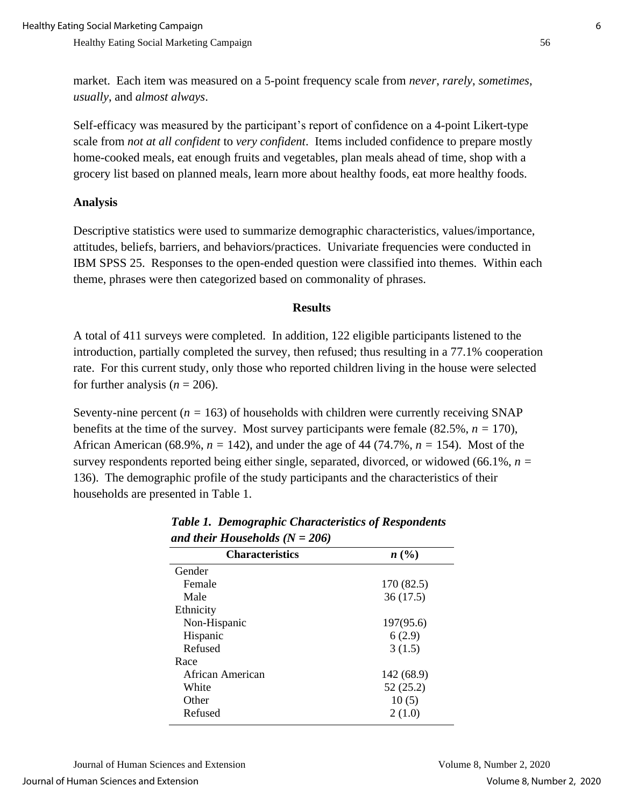market. Each item was measured on a 5-point frequency scale from *never*, *rarely*, *sometimes*, *usually*, and *almost always*.

Self-efficacy was measured by the participant's report of confidence on a 4-point Likert-type scale from *not at all confident* to *very confident*. Items included confidence to prepare mostly home-cooked meals, eat enough fruits and vegetables, plan meals ahead of time, shop with a grocery list based on planned meals, learn more about healthy foods, eat more healthy foods.

#### **Analysis**

Descriptive statistics were used to summarize demographic characteristics, values/importance, attitudes, beliefs, barriers, and behaviors/practices. Univariate frequencies were conducted in IBM SPSS 25. Responses to the open-ended question were classified into themes. Within each theme, phrases were then categorized based on commonality of phrases.

#### **Results**

A total of 411 surveys were completed. In addition, 122 eligible participants listened to the introduction, partially completed the survey, then refused; thus resulting in a 77.1% cooperation rate. For this current study, only those who reported children living in the house were selected for further analysis  $(n = 206)$ .

Seventy-nine percent  $(n = 163)$  of households with children were currently receiving SNAP benefits at the time of the survey. Most survey participants were female  $(82.5\%, n = 170)$ , African American (68.9%,  $n = 142$ ), and under the age of 44 (74.7%,  $n = 154$ ). Most of the survey respondents reported being either single, separated, divorced, or widowed (66.1%, *n =* 136). The demographic profile of the study participants and the characteristics of their households are presented in Table 1.

| <b>Characteristics</b> | n(%)       |
|------------------------|------------|
| Gender                 |            |
| Female                 | 170 (82.5) |
| Male                   | 36(17.5)   |
| Ethnicity              |            |
| Non-Hispanic           | 197(95.6)  |
| Hispanic               | 6(2.9)     |
| Refused                | 3(1.5)     |
| Race                   |            |
| African American       | 142 (68.9) |
| White                  | 52 (25.2)  |
| Other                  | 10(5)      |
| Refused                | 2(1.0)     |
|                        |            |

#### *Table 1. Demographic Characteristics of Respondents and their Households (N = 206)*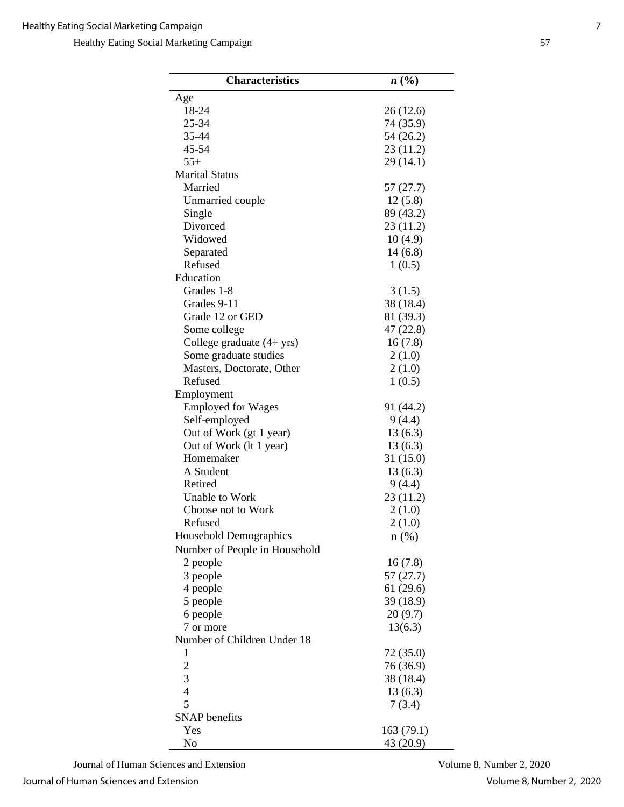| <b>Characteristics</b>        | n(%)       |
|-------------------------------|------------|
| Age                           |            |
| 18-24                         | 26(12.6)   |
| 25-34                         | 74 (35.9)  |
| 35-44                         | 54 (26.2)  |
| 45-54                         | 23 (11.2)  |
| $55+$                         | 29 (14.1)  |
| <b>Marital Status</b>         |            |
| Married                       | 57 (27.7)  |
| Unmarried couple              | 12(5.8)    |
| Single                        | 89 (43.2)  |
| Divorced                      | 23 (11.2)  |
| Widowed                       | 10(4.9)    |
| Separated                     | 14(6.8)    |
| Refused                       | 1(0.5)     |
| Education                     |            |
| Grades 1-8                    | 3(1.5)     |
| Grades 9-11                   | 38 (18.4)  |
| Grade 12 or GED               | 81 (39.3)  |
| Some college                  | 47 (22.8)  |
| College graduate (4+ yrs)     | 16(7.8)    |
|                               |            |
| Some graduate studies         | 2(1.0)     |
| Masters, Doctorate, Other     | 2(1.0)     |
| Refused                       | 1(0.5)     |
| Employment                    |            |
| <b>Employed for Wages</b>     | 91 (44.2)  |
| Self-employed                 | 9(4.4)     |
| Out of Work (gt 1 year)       | 13(6.3)    |
| Out of Work (lt 1 year)       | 13(6.3)    |
| Homemaker                     | 31 (15.0)  |
| A Student                     | 13(6.3)    |
| Retired                       | 9(4.4)     |
| <b>Unable to Work</b>         | 23 (11.2)  |
| Choose not to Work            | 2(1.0)     |
| Refused                       | 2(1.0)     |
| Household Demographics        | $n(\%)$    |
| Number of People in Household |            |
| 2 people                      | 16(7.8)    |
| 3 people                      | 57(27.7)   |
| 4 people                      | 61(29.6)   |
| 5 people                      | 39 (18.9)  |
| 6 people                      | 20(9.7)    |
| 7 or more                     | 13(6.3)    |
| Number of Children Under 18   |            |
| 1                             | 72 (35.0)  |
| $\overline{c}$                | 76 (36.9)  |
| 3                             | 38 (18.4)  |
| $\overline{4}$                | 13(6.3)    |
| 5                             | 7(3.4)     |
| <b>SNAP</b> benefits          |            |
| Yes                           | 163 (79.1) |
| No                            | 43 (20.9)  |

Journal of Human Sciences and Extension Volume 8, Number 2, 2020

Journal of Human Sciences and Extension Volume 8, Number 2, 2020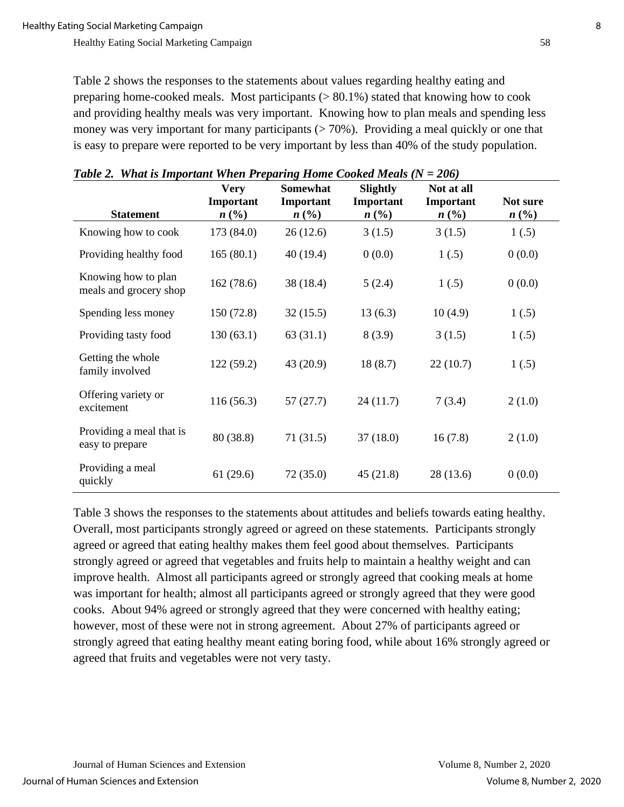Table 2 shows the responses to the statements about values regarding healthy eating and preparing home-cooked meals. Most participants  $(> 80.1\%)$  stated that knowing how to cook and providing healthy meals was very important. Knowing how to plan meals and spending less money was very important for many participants  $($  > 70%). Providing a meal quickly or one that is easy to prepare were reported to be very important by less than 40% of the study population.

| <b>Statement</b>                              | <b>Very</b><br>Important<br>$n\left(\frac{0}{0}\right)$ | Somewhat<br>Important<br>$n\left(\frac{\%}{\theta}\right)$ | <b>Slightly</b><br>Important<br>$n\,(\%)$ | Not at all<br>Important<br>$n\ (\%)$ | Not sure<br>n(%) |
|-----------------------------------------------|---------------------------------------------------------|------------------------------------------------------------|-------------------------------------------|--------------------------------------|------------------|
| Knowing how to cook                           | 173 (84.0)                                              | 26(12.6)                                                   | 3(1.5)                                    | 3(1.5)                               | 1(.5)            |
| Providing healthy food                        | 165(80.1)                                               | 40(19.4)                                                   | 0(0.0)                                    | 1(.5)                                | 0(0.0)           |
| Knowing how to plan<br>meals and grocery shop | 162 (78.6)                                              | 38 (18.4)                                                  | 5(2.4)                                    | 1(.5)                                | 0(0.0)           |
| Spending less money                           | 150(72.8)                                               | 32(15.5)                                                   | 13(6.3)                                   | 10(4.9)                              | 1(.5)            |
| Providing tasty food                          | 130(63.1)                                               | 63(31.1)                                                   | 8(3.9)                                    | 3(1.5)                               | 1(.5)            |
| Getting the whole<br>family involved          | 122(59.2)                                               | 43 (20.9)                                                  | 18(8.7)                                   | 22(10.7)                             | 1(.5)            |
| Offering variety or<br>excitement             | 116(56.3)                                               | 57(27.7)                                                   | 24(11.7)                                  | 7(3.4)                               | 2(1.0)           |
| Providing a meal that is<br>easy to prepare   | 80 (38.8)                                               | 71(31.5)                                                   | 37(18.0)                                  | 16(7.8)                              | 2(1.0)           |
| Providing a meal<br>quickly                   | 61(29.6)                                                | 72(35.0)                                                   | 45(21.8)                                  | 28(13.6)                             | 0(0.0)           |

|  | Table 2. What is Important When Preparing Home Cooked Meals ( $N = 206$ ) |  |
|--|---------------------------------------------------------------------------|--|
|--|---------------------------------------------------------------------------|--|

Table 3 shows the responses to the statements about attitudes and beliefs towards eating healthy. Overall, most participants strongly agreed or agreed on these statements. Participants strongly agreed or agreed that eating healthy makes them feel good about themselves. Participants strongly agreed or agreed that vegetables and fruits help to maintain a healthy weight and can improve health. Almost all participants agreed or strongly agreed that cooking meals at home was important for health; almost all participants agreed or strongly agreed that they were good cooks. About 94% agreed or strongly agreed that they were concerned with healthy eating; however, most of these were not in strong agreement. About 27% of participants agreed or strongly agreed that eating healthy meant eating boring food, while about 16% strongly agreed or agreed that fruits and vegetables were not very tasty.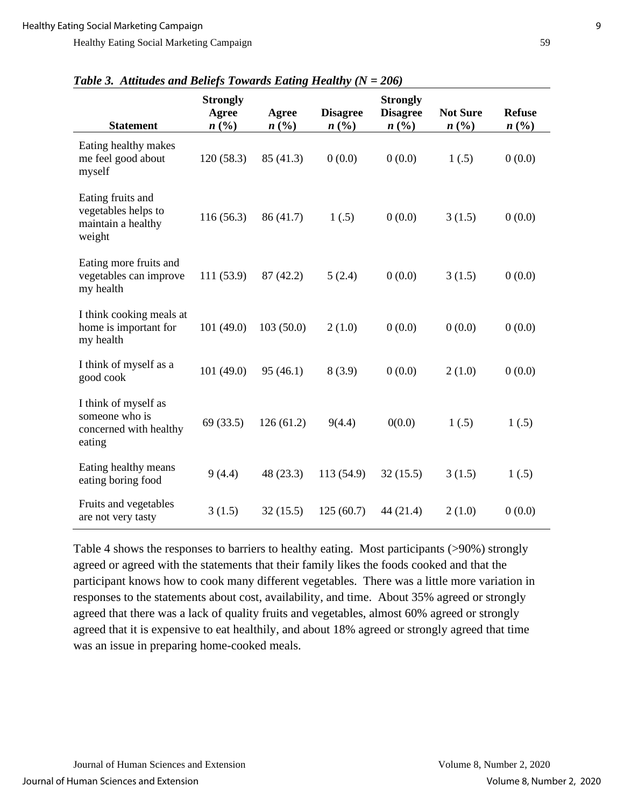| <b>Statement</b>                                                           | <b>Strongly</b><br>Agree<br>n(%) | Agree<br>n(%) | <b>Disagree</b><br>n(% | <b>Strongly</b><br><b>Disagree</b><br>n(%) | <b>Not Sure</b><br>$n\left(\frac{0}{0}\right)$ | <b>Refuse</b><br>n(%) |
|----------------------------------------------------------------------------|----------------------------------|---------------|------------------------|--------------------------------------------|------------------------------------------------|-----------------------|
| Eating healthy makes<br>me feel good about<br>myself                       | 120(58.3)                        | 85 (41.3)     | 0(0.0)                 | 0(0.0)                                     | 1(.5)                                          | 0(0.0)                |
| Eating fruits and<br>vegetables helps to<br>maintain a healthy<br>weight   | 116(56.3)                        | 86 (41.7)     | 1(.5)                  | 0(0.0)                                     | 3(1.5)                                         | 0(0.0)                |
| Eating more fruits and<br>vegetables can improve<br>my health              | 111(53.9)                        | 87 (42.2)     | 5(2.4)                 | 0(0.0)                                     | 3(1.5)                                         | 0(0.0)                |
| I think cooking meals at<br>home is important for<br>my health             | 101(49.0)                        | 103(50.0)     | 2(1.0)                 | 0(0.0)                                     | 0(0.0)                                         | 0(0.0)                |
| I think of myself as a<br>good cook                                        | 101(49.0)                        | 95(46.1)      | 8(3.9)                 | 0(0.0)                                     | 2(1.0)                                         | 0(0.0)                |
| I think of myself as<br>someone who is<br>concerned with healthy<br>eating | 69(33.5)                         | 126(61.2)     | 9(4.4)                 | 0(0.0)                                     | 1(.5)                                          | 1(.5)                 |
| Eating healthy means<br>eating boring food                                 | 9(4.4)                           | 48 (23.3)     | 113(54.9)              | 32(15.5)                                   | 3(1.5)                                         | 1(.5)                 |
| Fruits and vegetables<br>are not very tasty                                | 3(1.5)                           | 32(15.5)      | 125(60.7)              | 44(21.4)                                   | 2(1.0)                                         | 0(0.0)                |

| Table 3. Attitudes and Beliefs Towards Eating Healthy ( $N = 206$ ) |  |  |  |  |  |  |  |  |
|---------------------------------------------------------------------|--|--|--|--|--|--|--|--|
|---------------------------------------------------------------------|--|--|--|--|--|--|--|--|

Table 4 shows the responses to barriers to healthy eating. Most participants (>90%) strongly agreed or agreed with the statements that their family likes the foods cooked and that the participant knows how to cook many different vegetables. There was a little more variation in responses to the statements about cost, availability, and time. About 35% agreed or strongly agreed that there was a lack of quality fruits and vegetables, almost 60% agreed or strongly agreed that it is expensive to eat healthily, and about 18% agreed or strongly agreed that time was an issue in preparing home-cooked meals.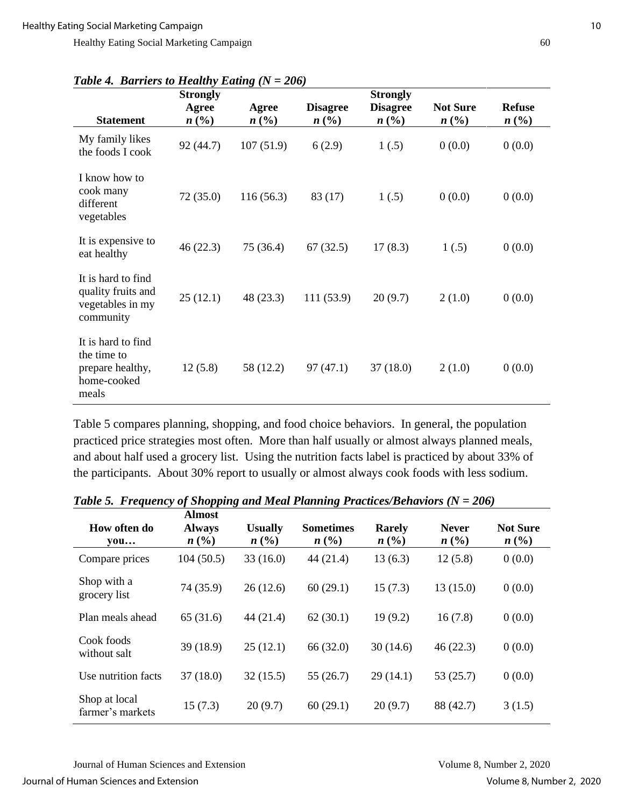|                                                                               | <b>Strongly</b>    |                    |                              | <b>Strongly</b>         |                              |                       |
|-------------------------------------------------------------------------------|--------------------|--------------------|------------------------------|-------------------------|------------------------------|-----------------------|
| <b>Statement</b>                                                              | Agree<br>$n\ (\%)$ | Agree<br>$n\ (\%)$ | <b>Disagree</b><br>$n\ (\%)$ | <b>Disagree</b><br>n(%) | <b>Not Sure</b><br>$n\ (\%)$ | <b>Refuse</b><br>n(%) |
| My family likes<br>the foods I cook                                           | 92 (44.7)          | 107(51.9)          | 6(2.9)                       | 1(.5)                   | 0(0.0)                       | 0(0.0)                |
| I know how to<br>cook many<br>different<br>vegetables                         | 72(35.0)           | 116(56.3)          | 83 (17)                      | 1(.5)                   | 0(0.0)                       | 0(0.0)                |
| It is expensive to<br>eat healthy                                             | 46(22.3)           | 75 (36.4)          | 67(32.5)                     | 17(8.3)                 | 1(.5)                        | 0(0.0)                |
| It is hard to find<br>quality fruits and<br>vegetables in my<br>community     | 25(12.1)           | 48 (23.3)          | 111(53.9)                    | 20(9.7)                 | 2(1.0)                       | 0(0.0)                |
| It is hard to find<br>the time to<br>prepare healthy,<br>home-cooked<br>meals | 12(5.8)            | 58 (12.2)          | 97(47.1)                     | 37(18.0)                | 2(1.0)                       | 0(0.0)                |

*Table 4. Barriers to Healthy Eating (N = 206)*

Table 5 compares planning, shopping, and food choice behaviors. In general, the population practiced price strategies most often. More than half usually or almost always planned meals, and about half used a grocery list. Using the nutrition facts label is practiced by about 33% of the participants. About 30% report to usually or almost always cook foods with less sodium.

| How often do<br>$\mathbf{v}\mathbf{ou} \dots$ | <b>Almost</b><br><b>Always</b><br>n(%) | <b>Usually</b><br>n(%) | <b>Sometimes</b><br>n(%) | <b>Rarely</b><br>n(%) | <b>Never</b><br>n(%) | <b>Not Sure</b><br>n(%) |
|-----------------------------------------------|----------------------------------------|------------------------|--------------------------|-----------------------|----------------------|-------------------------|
| Compare prices                                | 104(50.5)                              | 33(16.0)               | 44(21.4)                 | 13(6.3)               | 12(5.8)              | 0(0.0)                  |
| Shop with a<br>grocery list                   | 74 (35.9)                              | 26(12.6)               | 60(29.1)                 | 15(7.3)               | 13(15.0)             | 0(0.0)                  |
| Plan meals ahead                              | 65(31.6)                               | 44(21.4)               | 62(30.1)                 | 19(9.2)               | 16(7.8)              | 0(0.0)                  |
| Cook foods<br>without salt                    | 39 (18.9)                              | 25(12.1)               | 66 (32.0)                | 30(14.6)              | 46(22.3)             | 0(0.0)                  |
| Use nutrition facts                           | 37(18.0)                               | 32(15.5)               | 55(26.7)                 | 29(14.1)              | 53(25.7)             | 0(0.0)                  |
| Shop at local<br>farmer's markets             | 15(7.3)                                | 20(9.7)                | 60(29.1)                 | 20(9.7)               | 88 (42.7)            | 3(1.5)                  |

*Table 5. Frequency of Shopping and Meal Planning Practices/Behaviors (N = 206)*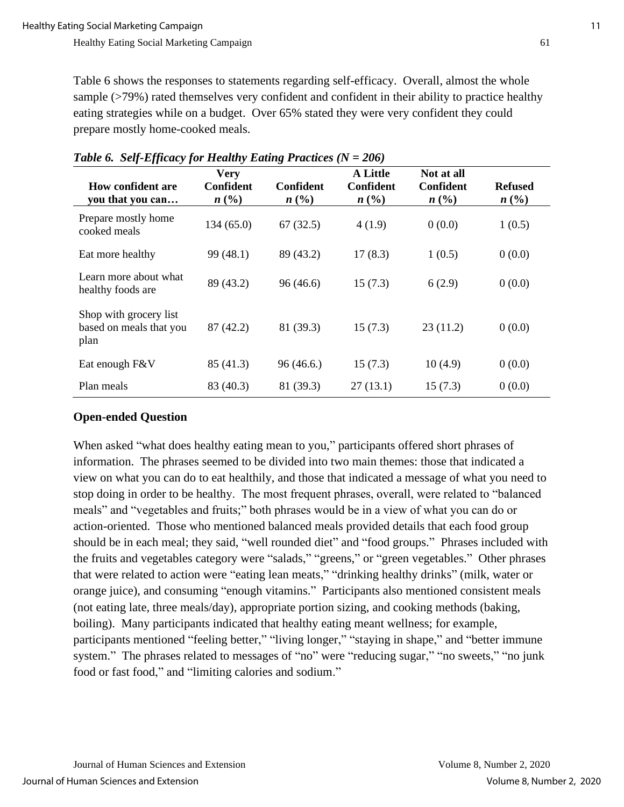Table 6 shows the responses to statements regarding self-efficacy. Overall, almost the whole sample (>79%) rated themselves very confident and confident in their ability to practice healthy eating strategies while on a budget. Over 65% stated they were very confident they could prepare mostly home-cooked meals.

| <b>How confident are</b><br>you that you can              | <b>Very</b><br>Confident<br>n(%) | Confident<br>n(%) | <b>A Little</b><br>Confident<br>n(%) | Not at all<br>Confident<br>n(%) | <b>Refused</b><br>n(%) |
|-----------------------------------------------------------|----------------------------------|-------------------|--------------------------------------|---------------------------------|------------------------|
| Prepare mostly home<br>cooked meals                       | 134 (65.0)                       | 67(32.5)          | 4(1.9)                               | 0(0.0)                          | 1(0.5)                 |
| Eat more healthy                                          | 99 (48.1)                        | 89 (43.2)         | 17(8.3)                              | 1(0.5)                          | 0(0.0)                 |
| Learn more about what<br>healthy foods are                | 89 (43.2)                        | 96(46.6)          | 15(7.3)                              | 6(2.9)                          | 0(0.0)                 |
| Shop with grocery list<br>based on meals that you<br>plan | 87(42.2)                         | 81 (39.3)         | 15(7.3)                              | 23(11.2)                        | 0(0.0)                 |
| Eat enough F&V                                            | 85 (41.3)                        | 96(46.6)          | 15(7.3)                              | 10(4.9)                         | 0(0.0)                 |
| Plan meals                                                | 83 (40.3)                        | 81 (39.3)         | 27(13.1)                             | 15(7.3)                         | 0(0.0)                 |

#### *Table 6. Self-Efficacy for Healthy Eating Practices (N = 206)*

# **Open-ended Question**

When asked "what does healthy eating mean to you," participants offered short phrases of information. The phrases seemed to be divided into two main themes: those that indicated a view on what you can do to eat healthily, and those that indicated a message of what you need to stop doing in order to be healthy. The most frequent phrases, overall, were related to "balanced meals" and "vegetables and fruits;" both phrases would be in a view of what you can do or action-oriented. Those who mentioned balanced meals provided details that each food group should be in each meal; they said, "well rounded diet" and "food groups." Phrases included with the fruits and vegetables category were "salads," "greens," or "green vegetables." Other phrases that were related to action were "eating lean meats," "drinking healthy drinks" (milk, water or orange juice), and consuming "enough vitamins." Participants also mentioned consistent meals (not eating late, three meals/day), appropriate portion sizing, and cooking methods (baking, boiling). Many participants indicated that healthy eating meant wellness; for example, participants mentioned "feeling better," "living longer," "staying in shape," and "better immune system." The phrases related to messages of "no" were "reducing sugar," "no sweets," "no junk food or fast food," and "limiting calories and sodium."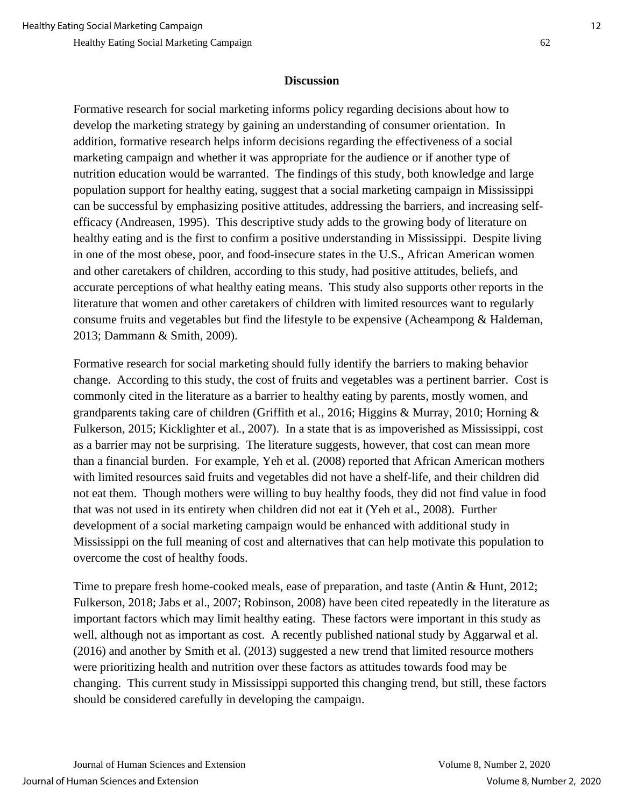#### **Discussion**

Formative research for social marketing informs policy regarding decisions about how to develop the marketing strategy by gaining an understanding of consumer orientation. In addition, formative research helps inform decisions regarding the effectiveness of a social marketing campaign and whether it was appropriate for the audience or if another type of nutrition education would be warranted. The findings of this study, both knowledge and large population support for healthy eating, suggest that a social marketing campaign in Mississippi can be successful by emphasizing positive attitudes, addressing the barriers, and increasing selfefficacy (Andreasen, 1995). This descriptive study adds to the growing body of literature on healthy eating and is the first to confirm a positive understanding in Mississippi. Despite living in one of the most obese, poor, and food-insecure states in the U.S., African American women and other caretakers of children, according to this study, had positive attitudes, beliefs, and accurate perceptions of what healthy eating means. This study also supports other reports in the literature that women and other caretakers of children with limited resources want to regularly consume fruits and vegetables but find the lifestyle to be expensive (Acheampong & Haldeman, 2013; Dammann & Smith, 2009).

Formative research for social marketing should fully identify the barriers to making behavior change. According to this study, the cost of fruits and vegetables was a pertinent barrier. Cost is commonly cited in the literature as a barrier to healthy eating by parents, mostly women, and grandparents taking care of children (Griffith et al., 2016; Higgins & Murray, 2010; Horning & Fulkerson, 2015; Kicklighter et al., 2007). In a state that is as impoverished as Mississippi, cost as a barrier may not be surprising. The literature suggests, however, that cost can mean more than a financial burden. For example, Yeh et al. (2008) reported that African American mothers with limited resources said fruits and vegetables did not have a shelf-life, and their children did not eat them. Though mothers were willing to buy healthy foods, they did not find value in food that was not used in its entirety when children did not eat it (Yeh et al., 2008). Further development of a social marketing campaign would be enhanced with additional study in Mississippi on the full meaning of cost and alternatives that can help motivate this population to overcome the cost of healthy foods.

Time to prepare fresh home-cooked meals, ease of preparation, and taste (Antin & Hunt, 2012; Fulkerson, 2018; Jabs et al., 2007; Robinson, 2008) have been cited repeatedly in the literature as important factors which may limit healthy eating. These factors were important in this study as well, although not as important as cost. A recently published national study by Aggarwal et al. (2016) and another by Smith et al. (2013) suggested a new trend that limited resource mothers were prioritizing health and nutrition over these factors as attitudes towards food may be changing. This current study in Mississippi supported this changing trend, but still, these factors should be considered carefully in developing the campaign.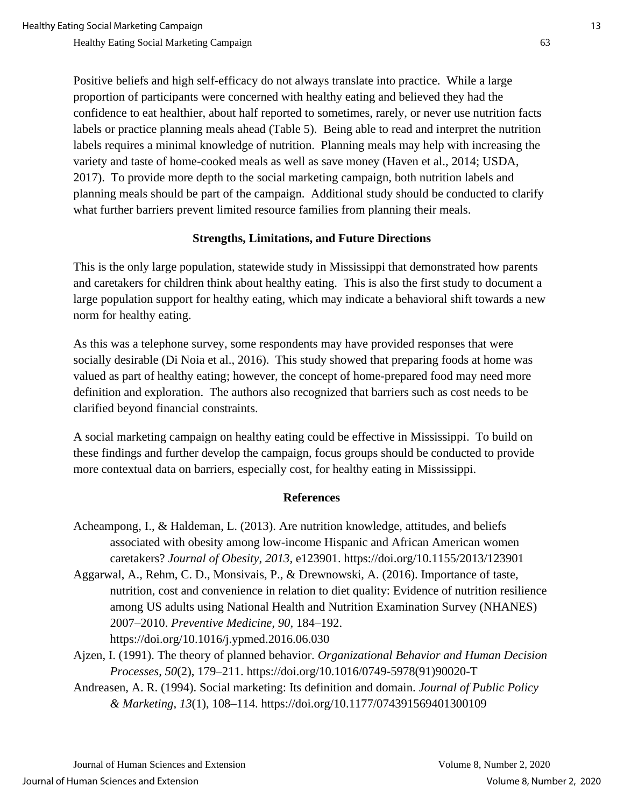Positive beliefs and high self-efficacy do not always translate into practice. While a large proportion of participants were concerned with healthy eating and believed they had the confidence to eat healthier, about half reported to sometimes, rarely, or never use nutrition facts labels or practice planning meals ahead (Table 5). Being able to read and interpret the nutrition labels requires a minimal knowledge of nutrition. Planning meals may help with increasing the variety and taste of home-cooked meals as well as save money (Haven et al., 2014; USDA, 2017). To provide more depth to the social marketing campaign, both nutrition labels and planning meals should be part of the campaign. Additional study should be conducted to clarify what further barriers prevent limited resource families from planning their meals.

#### **Strengths, Limitations, and Future Directions**

This is the only large population, statewide study in Mississippi that demonstrated how parents and caretakers for children think about healthy eating. This is also the first study to document a large population support for healthy eating, which may indicate a behavioral shift towards a new norm for healthy eating.

As this was a telephone survey, some respondents may have provided responses that were socially desirable (Di Noia et al., 2016). This study showed that preparing foods at home was valued as part of healthy eating; however, the concept of home-prepared food may need more definition and exploration. The authors also recognized that barriers such as cost needs to be clarified beyond financial constraints.

A social marketing campaign on healthy eating could be effective in Mississippi. To build on these findings and further develop the campaign, focus groups should be conducted to provide more contextual data on barriers, especially cost, for healthy eating in Mississippi.

#### **References**

- Acheampong, I., & Haldeman, L. (2013). Are nutrition knowledge, attitudes, and beliefs associated with obesity among low-income Hispanic and African American women caretakers? *Journal of Obesity*, *2013*, e123901. https://doi.org/10.1155/2013/123901
- Aggarwal, A., Rehm, C. D., Monsivais, P., & Drewnowski, A. (2016). Importance of taste, nutrition, cost and convenience in relation to diet quality: Evidence of nutrition resilience among US adults using National Health and Nutrition Examination Survey (NHANES) 2007–2010. *Preventive Medicine, 90,* 184–192. https://doi.org/10.1016/j.ypmed.2016.06.030
- Ajzen, I. (1991). The theory of planned behavior. *Organizational Behavior and Human Decision Processes*, *50*(2), 179–211. https://doi.org/10.1016/0749-5978(91)90020-T
- Andreasen, A. R. (1994). Social marketing: Its definition and domain. *Journal of Public Policy & Marketing*, *13*(1), 108–114. https://doi.org/10.1177/074391569401300109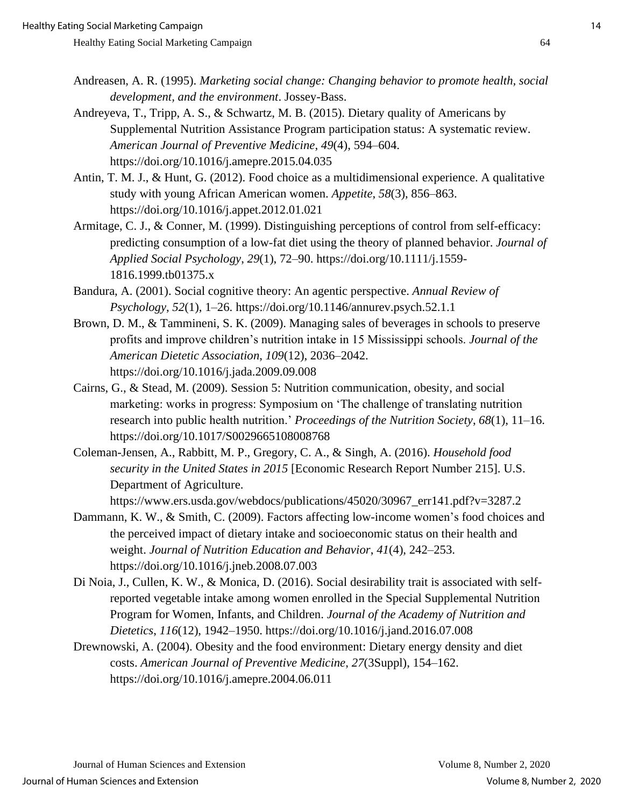- Andreasen, A. R. (1995). *Marketing social change: Changing behavior to promote health, social development, and the environment*. Jossey-Bass.
- Andreyeva, T., Tripp, A. S., & Schwartz, M. B. (2015). Dietary quality of Americans by Supplemental Nutrition Assistance Program participation status: A systematic review. *American Journal of Preventive Medicine*, *49*(4), 594–604. https://doi.org/10.1016/j.amepre.2015.04.035
- Antin, T. M. J., & Hunt, G. (2012). Food choice as a multidimensional experience. A qualitative study with young African American women. *Appetite*, *58*(3), 856–863. https://doi.org/10.1016/j.appet.2012.01.021
- Armitage, C. J., & Conner, M. (1999). Distinguishing perceptions of control from self-efficacy: predicting consumption of a low-fat diet using the theory of planned behavior. *Journal of Applied Social Psychology*, *29*(1), 72–90. https://doi.org/10.1111/j.1559- 1816.1999.tb01375.x
- Bandura, A. (2001). Social cognitive theory: An agentic perspective. *Annual Review of Psychology*, *52*(1), 1–26. https://doi.org/10.1146/annurev.psych.52.1.1
- Brown, D. M., & Tammineni, S. K. (2009). Managing sales of beverages in schools to preserve profits and improve children's nutrition intake in 15 Mississippi schools. *Journal of the American Dietetic Association*, *109*(12), 2036–2042. https://doi.org/10.1016/j.jada.2009.09.008
- Cairns, G., & Stead, M. (2009). Session 5: Nutrition communication, obesity, and social marketing: works in progress: Symposium on 'The challenge of translating nutrition research into public health nutrition.' *Proceedings of the Nutrition Society*, *68*(1), 11–16. https://doi.org/10.1017/S0029665108008768
- Coleman-Jensen, A., Rabbitt, M. P., Gregory, C. A., & Singh, A. (2016). *Household food security in the United States in 2015* [Economic Research Report Number 215]. U.S. Department of Agriculture.

https://www.ers.usda.gov/webdocs/publications/45020/30967\_err141.pdf?v=3287.2

- Dammann, K. W., & Smith, C. (2009). Factors affecting low-income women's food choices and the perceived impact of dietary intake and socioeconomic status on their health and weight. *Journal of Nutrition Education and Behavior*, *41*(4), 242–253. https://doi.org/10.1016/j.jneb.2008.07.003
- Di Noia, J., Cullen, K. W., & Monica, D. (2016). Social desirability trait is associated with selfreported vegetable intake among women enrolled in the Special Supplemental Nutrition Program for Women, Infants, and Children. *Journal of the Academy of Nutrition and Dietetics*, *116*(12), 1942–1950. https://doi.org/10.1016/j.jand.2016.07.008
- Drewnowski, A. (2004). Obesity and the food environment: Dietary energy density and diet costs. *American Journal of Preventive Medicine*, *27*(3Suppl), 154–162. https://doi.org/10.1016/j.amepre.2004.06.011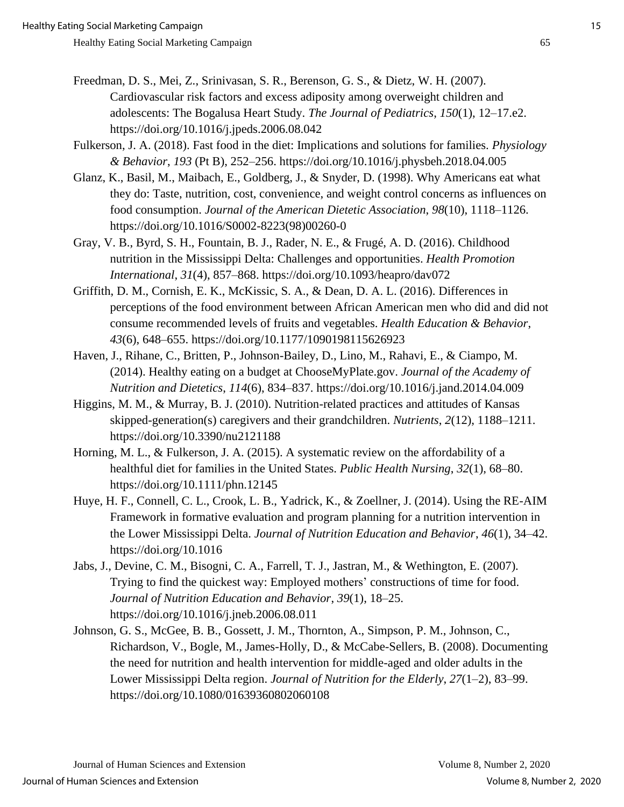- Freedman, D. S., Mei, Z., Srinivasan, S. R., Berenson, G. S., & Dietz, W. H. (2007). Cardiovascular risk factors and excess adiposity among overweight children and adolescents: The Bogalusa Heart Study. *The Journal of Pediatrics*, *150*(1), 12–17.e2. https://doi.org/10.1016/j.jpeds.2006.08.042
- Fulkerson, J. A. (2018). Fast food in the diet: Implications and solutions for families. *Physiology & Behavior*, *193* (Pt B), 252–256. https://doi.org/10.1016/j.physbeh.2018.04.005
- Glanz, K., Basil, M., Maibach, E., Goldberg, J., & Snyder, D. (1998). Why Americans eat what they do: Taste, nutrition, cost, convenience, and weight control concerns as influences on food consumption. *Journal of the American Dietetic Association*, *98*(10), 1118–1126. https://doi.org/10.1016/S0002-8223(98)00260-0
- Gray, V. B., Byrd, S. H., Fountain, B. J., Rader, N. E., & Frugé, A. D. (2016). Childhood nutrition in the Mississippi Delta: Challenges and opportunities. *Health Promotion International*, *31*(4), 857–868. https://doi.org/10.1093/heapro/dav072
- Griffith, D. M., Cornish, E. K., McKissic, S. A., & Dean, D. A. L. (2016). Differences in perceptions of the food environment between African American men who did and did not consume recommended levels of fruits and vegetables. *Health Education & Behavior*, *43*(6), 648–655. https://doi.org/10.1177/1090198115626923
- Haven, J., Rihane, C., Britten, P., Johnson-Bailey, D., Lino, M., Rahavi, E., & Ciampo, M. (2014). Healthy eating on a budget at ChooseMyPlate.gov. *Journal of the Academy of Nutrition and Dietetics*, *114*(6), 834–837. https://doi.org/10.1016/j.jand.2014.04.009
- Higgins, M. M., & Murray, B. J. (2010). Nutrition-related practices and attitudes of Kansas skipped-generation(s) caregivers and their grandchildren. *Nutrients*, *2*(12), 1188–1211. https://doi.org/10.3390/nu2121188
- Horning, M. L., & Fulkerson, J. A. (2015). A systematic review on the affordability of a healthful diet for families in the United States. *Public Health Nursing*, *32*(1), 68–80. https://doi.org/10.1111/phn.12145
- Huye, H. F., Connell, C. L., Crook, L. B., Yadrick, K., & Zoellner, J. (2014). Using the RE-AIM Framework in formative evaluation and program planning for a nutrition intervention in the Lower Mississippi Delta. *Journal of Nutrition Education and Behavior*, *46*(1), 34–42. https://doi.org/10.1016
- Jabs, J., Devine, C. M., Bisogni, C. A., Farrell, T. J., Jastran, M., & Wethington, E. (2007). Trying to find the quickest way: Employed mothers' constructions of time for food. *Journal of Nutrition Education and Behavior*, *39*(1), 18–25. https://doi.org/10.1016/j.jneb.2006.08.011
- Johnson, G. S., McGee, B. B., Gossett, J. M., Thornton, A., Simpson, P. M., Johnson, C., Richardson, V., Bogle, M., James-Holly, D., & McCabe-Sellers, B. (2008). Documenting the need for nutrition and health intervention for middle-aged and older adults in the Lower Mississippi Delta region. *Journal of Nutrition for the Elderly*, *27*(1–2), 83–99. https://doi.org/10.1080/01639360802060108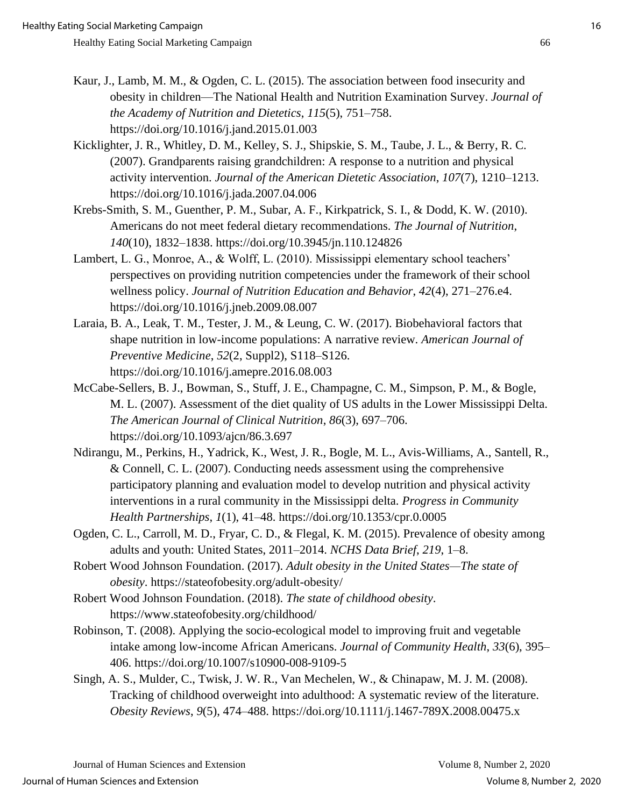- 
- Kaur, J., Lamb, M. M., & Ogden, C. L. (2015). The association between food insecurity and obesity in children—The National Health and Nutrition Examination Survey. *Journal of the Academy of Nutrition and Dietetics*, *115*(5), 751–758. https://doi.org/10.1016/j.jand.2015.01.003
- Kicklighter, J. R., Whitley, D. M., Kelley, S. J., Shipskie, S. M., Taube, J. L., & Berry, R. C. (2007). Grandparents raising grandchildren: A response to a nutrition and physical activity intervention. *Journal of the American Dietetic Association*, *107*(7), 1210–1213. https://doi.org/10.1016/j.jada.2007.04.006
- Krebs-Smith, S. M., Guenther, P. M., Subar, A. F., Kirkpatrick, S. I., & Dodd, K. W. (2010). Americans do not meet federal dietary recommendations. *The Journal of Nutrition*, *140*(10), 1832–1838. https://doi.org/10.3945/jn.110.124826
- Lambert, L. G., Monroe, A., & Wolff, L. (2010). Mississippi elementary school teachers' perspectives on providing nutrition competencies under the framework of their school wellness policy. *Journal of Nutrition Education and Behavior*, *42*(4), 271–276.e4. https://doi.org/10.1016/j.jneb.2009.08.007
- Laraia, B. A., Leak, T. M., Tester, J. M., & Leung, C. W. (2017). Biobehavioral factors that shape nutrition in low-income populations: A narrative review. *American Journal of Preventive Medicine*, *52*(2, Suppl2), S118–S126. https://doi.org/10.1016/j.amepre.2016.08.003
- McCabe-Sellers, B. J., Bowman, S., Stuff, J. E., Champagne, C. M., Simpson, P. M., & Bogle, M. L. (2007). Assessment of the diet quality of US adults in the Lower Mississippi Delta. *The American Journal of Clinical Nutrition*, *86*(3), 697–706. https://doi.org/10.1093/ajcn/86.3.697
- Ndirangu, M., Perkins, H., Yadrick, K., West, J. R., Bogle, M. L., Avis-Williams, A., Santell, R., & Connell, C. L. (2007). Conducting needs assessment using the comprehensive participatory planning and evaluation model to develop nutrition and physical activity interventions in a rural community in the Mississippi delta. *Progress in Community Health Partnerships*, *1*(1), 41–48. https://doi.org/10.1353/cpr.0.0005
- Ogden, C. L., Carroll, M. D., Fryar, C. D., & Flegal, K. M. (2015). Prevalence of obesity among adults and youth: United States, 2011–2014. *NCHS Data Brief*, *219*, 1–8.
- Robert Wood Johnson Foundation. (2017). *Adult obesity in the United States—The state of obesity*. https://stateofobesity.org/adult-obesity/
- Robert Wood Johnson Foundation. (2018). *The state of childhood obesity*. https://www.stateofobesity.org/childhood/
- Robinson, T. (2008). Applying the socio-ecological model to improving fruit and vegetable intake among low-income African Americans. *Journal of Community Health*, *33*(6), 395– 406. https://doi.org/10.1007/s10900-008-9109-5
- Singh, A. S., Mulder, C., Twisk, J. W. R., Van Mechelen, W., & Chinapaw, M. J. M. (2008). Tracking of childhood overweight into adulthood: A systematic review of the literature. *Obesity Reviews*, *9*(5), 474–488. https://doi.org/10.1111/j.1467-789X.2008.00475.x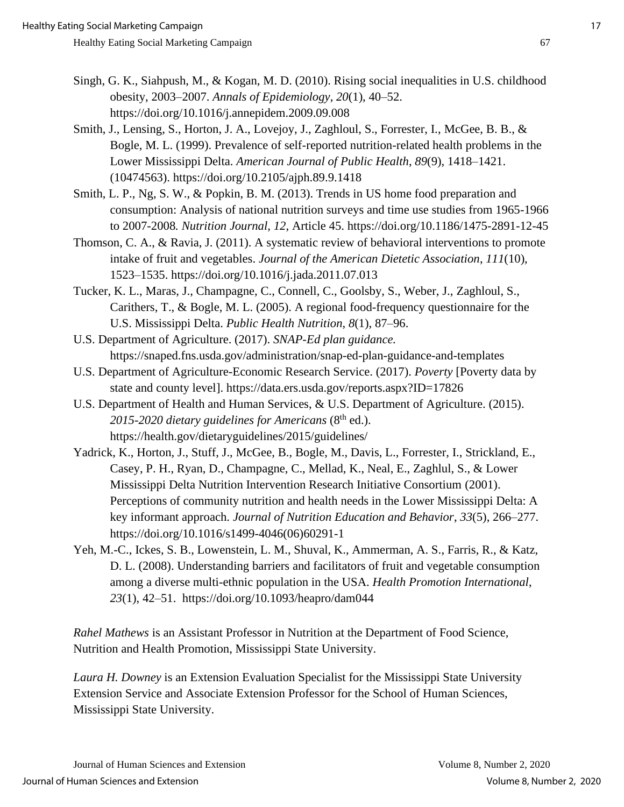- Singh, G. K., Siahpush, M., & Kogan, M. D. (2010). Rising social inequalities in U.S. childhood obesity, 2003–2007. *Annals of Epidemiology*, *20*(1), 40–52. https://doi.org/10.1016/j.annepidem.2009.09.008
- Smith, J., Lensing, S., Horton, J. A., Lovejoy, J., Zaghloul, S., Forrester, I., McGee, B. B., & Bogle, M. L. (1999). Prevalence of self-reported nutrition-related health problems in the Lower Mississippi Delta. *American Journal of Public Health*, *89*(9), 1418–1421. (10474563). https://doi.org/10.2105/ajph.89.9.1418
- Smith, L. P., Ng, S. W., & Popkin, B. M. (2013). Trends in US home food preparation and consumption: Analysis of national nutrition surveys and time use studies from 1965-1966 to 2007-2008*. Nutrition Journal, 12*, Article 45. https://doi.org/10.1186/1475-2891-12-45
- Thomson, C. A., & Ravia, J. (2011). A systematic review of behavioral interventions to promote intake of fruit and vegetables. *Journal of the American Dietetic Association*, *111*(10), 1523–1535. https://doi.org/10.1016/j.jada.2011.07.013
- Tucker, K. L., Maras, J., Champagne, C., Connell, C., Goolsby, S., Weber, J., Zaghloul, S., Carithers, T., & Bogle, M. L. (2005). A regional food-frequency questionnaire for the U.S. Mississippi Delta. *Public Health Nutrition*, *8*(1), 87–96.
- U.S. Department of Agriculture. (2017). *SNAP-Ed plan guidance.* https://snaped.fns.usda.gov/administration/snap-ed-plan-guidance-and-templates
- U.S. Department of Agriculture-Economic Research Service. (2017). *Poverty* [Poverty data by state and county level]. https://data.ers.usda.gov/reports.aspx?ID=17826
- U.S. Department of Health and Human Services, & U.S. Department of Agriculture. (2015). 2015-2020 dietary guidelines for Americans (8<sup>th</sup> ed.). https://health.gov/dietaryguidelines/2015/guidelines/
- Yadrick, K., Horton, J., Stuff, J., McGee, B., Bogle, M., Davis, L., Forrester, I., Strickland, E., Casey, P. H., Ryan, D., Champagne, C., Mellad, K., Neal, E., Zaghlul, S., & Lower Mississippi Delta Nutrition Intervention Research Initiative Consortium (2001). Perceptions of community nutrition and health needs in the Lower Mississippi Delta: A key informant approach. *Journal of Nutrition Education and Behavior*, *33*(5), 266–277. https://doi.org/10.1016/s1499-4046(06)60291-1
- Yeh, M.-C., Ickes, S. B., Lowenstein, L. M., Shuval, K., Ammerman, A. S., Farris, R., & Katz, D. L. (2008). Understanding barriers and facilitators of fruit and vegetable consumption among a diverse multi-ethnic population in the USA. *Health Promotion International*, *23*(1), 42–51. https://doi.org/10.1093/heapro/dam044

*Rahel Mathews* is an Assistant Professor in Nutrition at the Department of Food Science, Nutrition and Health Promotion, Mississippi State University.

*Laura H. Downey* is an Extension Evaluation Specialist for the Mississippi State University Extension Service and Associate Extension Professor for the School of Human Sciences, Mississippi State University.